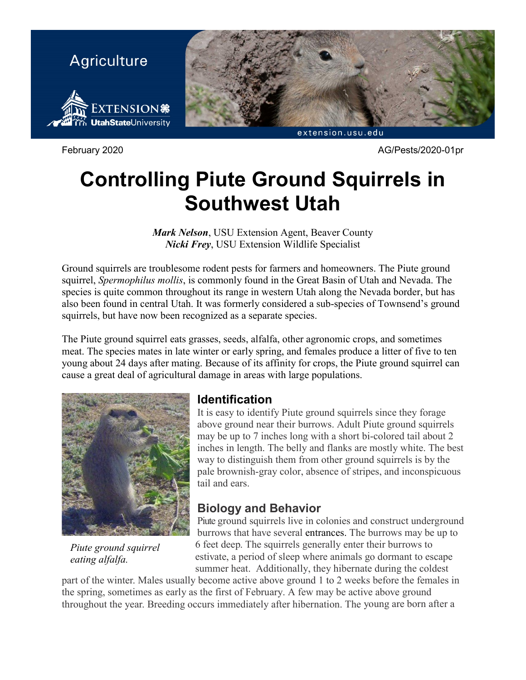

February 2020 AG/Pests/2020-01pr

# **Controlling Piute Ground Squirrels in Southwest Utah**

*Mark Nelson*, USU Extension Agent, Beaver County *Nicki Frey*, USU Extension Wildlife Specialist

Ground squirrels are troublesome rodent pests for farmers and homeowners. The Piute ground squirrel, *Spermophilus mollis*, is commonly found in the Great Basin of Utah and Nevada. The species is quite common throughout its range in western Utah along the Nevada border, but has also been found in central Utah. It was formerly considered a sub-species of Townsend's ground squirrels, but have now been recognized as a separate species.

The Piute ground squirrel eats grasses, seeds, alfalfa, other agronomic crops, and sometimes meat. The species mates in late winter or early spring, and females produce a litter of five to ten young about 24 days after mating. Because of its affinity for crops, the Piute ground squirrel can cause a great deal of agricultural damage in areas with large populations.



*Piute ground squirrel eating alfalfa.*

## **Identification**

It is easy to identify Piute ground squirrels since they forage above ground near their burrows. Adult Piute ground squirrels may be up to 7 inches long with a short bi-colored tail about 2 inches in length. The belly and flanks are mostly white. The best way to distinguish them from other ground squirrels is by the pale brownish-gray color, absence of stripes, and inconspicuous tail and ears.

## **Biology and Behavior**

Piute ground squirrels live in colonies and construct underground burrows that have several entrances. The burrows may be up to 6 feet deep. The squirrels generally enter their burrows to estivate, a period of sleep where animals go dormant to escape summer heat. Additionally, they hibernate during the coldest

part of the winter. Males usually become active above ground 1 to 2 weeks before the females in the spring, sometimes as early as the first of February. A few may be active above ground throughout the year. Breeding occurs immediately after hibernation. The young are born after a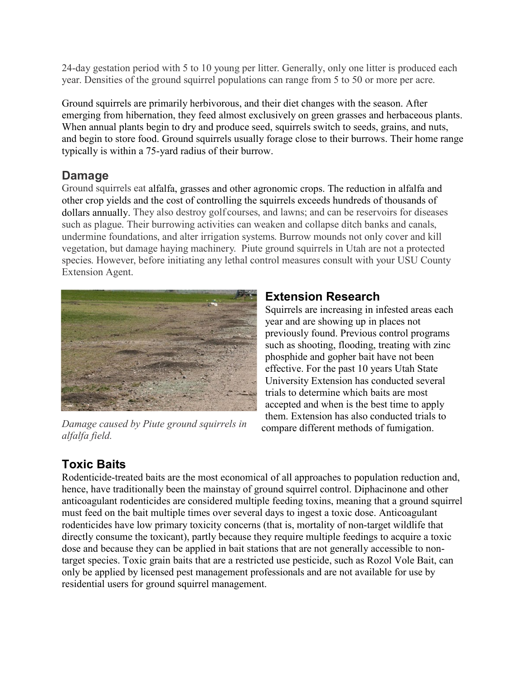24-day gestation period with 5 to 10 young per litter. Generally, only one litter is produced each year. Densities of the ground squirrel populations can range from 5 to 50 or more per acre.

Ground squirrels are primarily herbivorous, and their diet changes with the season. After emerging from hibernation, they feed almost exclusively on green grasses and herbaceous plants. When annual plants begin to dry and produce seed, squirrels switch to seeds, grains, and nuts, and begin to store food. Ground squirrels usually forage close to their burrows. Their home range typically is within a 75-yard radius of their burrow.

## **Damage**

Ground squirrels eat alfalfa, grasses and other agronomic crops. The reduction in alfalfa and other crop yields and the cost of controlling the squirrels exceeds hundreds of thousands of dollars annually. They also destroy golf courses, and lawns; and can be reservoirs for diseases such as plague. Their burrowing activities can weaken and collapse ditch banks and canals, undermine foundations, and alter irrigation systems. Burrow mounds not only cover and kill vegetation, but damage haying machinery. Piute ground squirrels in Utah are not a protected species. However, before initiating any lethal control measures consult with your USU County Extension Agent.



*Damage caused by Piute ground squirrels in alfalfa field.*

## **Extension Research**

Squirrels are increasing in infested areas each year and are showing up in places not previously found. Previous control programs such as shooting, flooding, treating with zinc phosphide and gopher bait have not been effective. For the past 10 years Utah State University Extension has conducted several trials to determine which baits are most accepted and when is the best time to apply them. Extension has also conducted trials to compare different methods of fumigation.

## **Toxic Baits**

Rodenticide-treated baits are the most economical of all approaches to population reduction and, hence, have traditionally been the mainstay of ground squirrel control. Diphacinone and other anticoagulant rodenticides are considered multiple feeding toxins, meaning that a ground squirrel must feed on the bait multiple times over several days to ingest a toxic dose. Anticoagulant rodenticides have low primary toxicity concerns (that is, mortality of non-target wildlife that directly consume the toxicant), partly because they require multiple feedings to acquire a toxic dose and because they can be applied in bait stations that are not generally accessible to nontarget species. Toxic grain baits that are a restricted use pesticide, such as Rozol Vole Bait, can only be applied by licensed pest management professionals and are not available for use by residential users for ground squirrel management.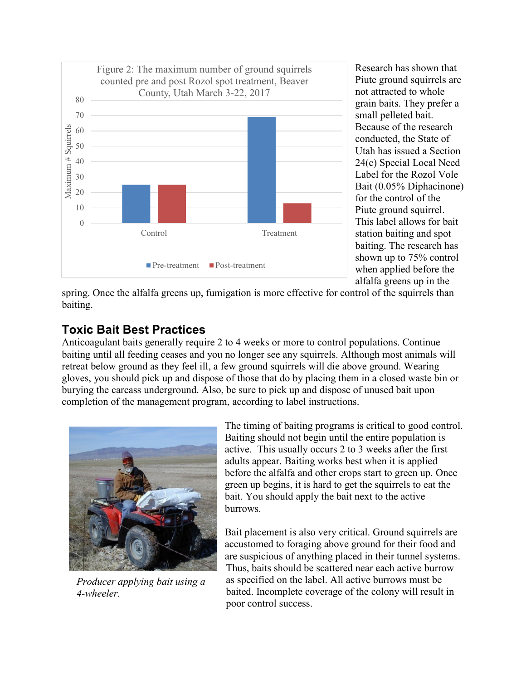

Research has shown that Piute ground squirrels are not attracted to whole grain baits. They prefer a small pelleted bait. Because of the research conducted, the State of Utah has issued a Section 24(c) Special Local Need Label for the Rozol Vole Bait (0.05% Diphacinone) for the control of the Piute ground squirrel. This label allows for bait station baiting and spot baiting. The research has shown up to 75% control when applied before the alfalfa greens up in the

spring. Once the alfalfa greens up, fumigation is more effective for control of the squirrels than baiting.

## **Toxic Bait Best Practices**

Anticoagulant baits generally require 2 to 4 weeks or more to control populations. Continue baiting until all feeding ceases and you no longer see any squirrels. Although most animals will retreat below ground as they feel ill, a few ground squirrels will die above ground. Wearing gloves, you should pick up and dispose of those that do by placing them in a closed waste bin or burying the carcass underground. Also, be sure to pick up and dispose of unused bait upon completion of the management program, according to label instructions.



*Producer applying bait using a 4-wheeler.*

The timing of baiting programs is critical to good control. Baiting should not begin until the entire population is active. This usually occurs 2 to 3 weeks after the first adults appear. Baiting works best when it is applied before the alfalfa and other crops start to green up. Once green up begins, it is hard to get the squirrels to eat the bait. You should apply the bait next to the active burrows.

Bait placement is also very critical. Ground squirrels are accustomed to foraging above ground for their food and are suspicious of anything placed in their tunnel systems. Thus, baits should be scattered near each active burrow as specified on the label. All active burrows must be baited. Incomplete coverage of the colony will result in poor control success.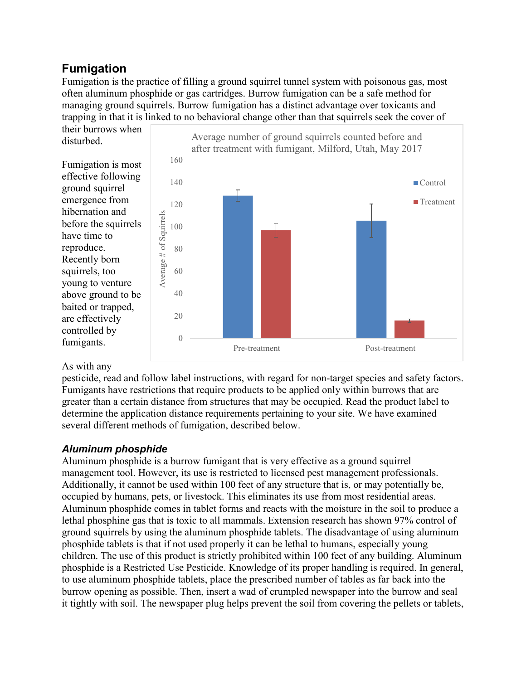## **Fumigation**

Fumigation is the practice of filling a ground squirrel tunnel system with poisonous gas, most often aluminum phosphide or gas cartridges. Burrow fumigation can be a safe method for managing ground squirrels. Burrow fumigation has a distinct advantage over toxicants and trapping in that it is linked to no behavioral change other than that squirrels seek the cover of



#### As with any

pesticide, read and follow label instructions, with regard for non-target species and safety factors. Fumigants have restrictions that require products to be applied only within burrows that are greater than a certain distance from structures that may be occupied. Read the product label to determine the application distance requirements pertaining to your site. We have examined several different methods of fumigation, described below.

#### *Aluminum phosphide*

Aluminum phosphide is a burrow fumigant that is very effective as a ground squirrel management tool. However, its use is restricted to licensed pest management professionals. Additionally, it cannot be used within 100 feet of any structure that is, or may potentially be, occupied by humans, pets, or livestock. This eliminates its use from most residential areas. Aluminum phosphide comes in tablet forms and reacts with the moisture in the soil to produce a lethal phosphine gas that is toxic to all mammals. Extension research has shown 97% control of ground squirrels by using the aluminum phosphide tablets. The disadvantage of using aluminum phosphide tablets is that if not used properly it can be lethal to humans, especially young children. The use of this product is strictly prohibited within 100 feet of any building. Aluminum phosphide is a Restricted Use Pesticide. Knowledge of its proper handling is required. In general, to use aluminum phosphide tablets, place the prescribed number of tables as far back into the burrow opening as possible. Then, insert a wad of crumpled newspaper into the burrow and seal it tightly with soil. The newspaper plug helps prevent the soil from covering the pellets or tablets,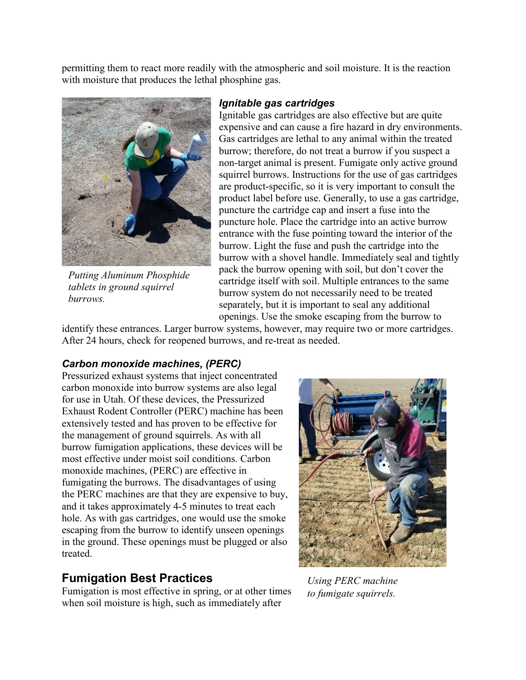permitting them to react more readily with the atmospheric and soil moisture. It is the reaction with moisture that produces the lethal phosphine gas.



*Putting Aluminum Phosphide tablets in ground squirrel burrows.*

#### *Ignitable gas cartridges*

Ignitable gas cartridges are also effective but are quite expensive and can cause a fire hazard in dry environments. Gas cartridges are lethal to any animal within the treated burrow; therefore, do not treat a burrow if you suspect a non-target animal is present. Fumigate only active ground squirrel burrows. Instructions for the use of gas cartridges are product-specific, so it is very important to consult the product label before use. Generally, to use a gas cartridge, puncture the cartridge cap and insert a fuse into the puncture hole. Place the cartridge into an active burrow entrance with the fuse pointing toward the interior of the burrow. Light the fuse and push the cartridge into the burrow with a shovel handle. Immediately seal and tightly pack the burrow opening with soil, but don't cover the cartridge itself with soil. Multiple entrances to the same burrow system do not necessarily need to be treated separately, but it is important to seal any additional openings. Use the smoke escaping from the burrow to

identify these entrances. Larger burrow systems, however, may require two or more cartridges. After 24 hours, check for reopened burrows, and re-treat as needed.

#### *Carbon monoxide machines, (PERC)*

Pressurized exhaust systems that inject concentrated carbon monoxide into burrow systems are also legal for use in Utah. Of these devices, the Pressurized Exhaust Rodent Controller (PERC) machine has been extensively tested and has proven to be effective for the management of ground squirrels. As with all burrow fumigation applications, these devices will be most effective under moist soil conditions. Carbon monoxide machines, (PERC) are effective in fumigating the burrows. The disadvantages of using the PERC machines are that they are expensive to buy, and it takes approximately 4-5 minutes to treat each hole. As with gas cartridges, one would use the smoke escaping from the burrow to identify unseen openings in the ground. These openings must be plugged or also treated.

#### **Fumigation Best Practices**

Fumigation is most effective in spring, or at other times when soil moisture is high, such as immediately after



*Using PERC machine to fumigate squirrels.*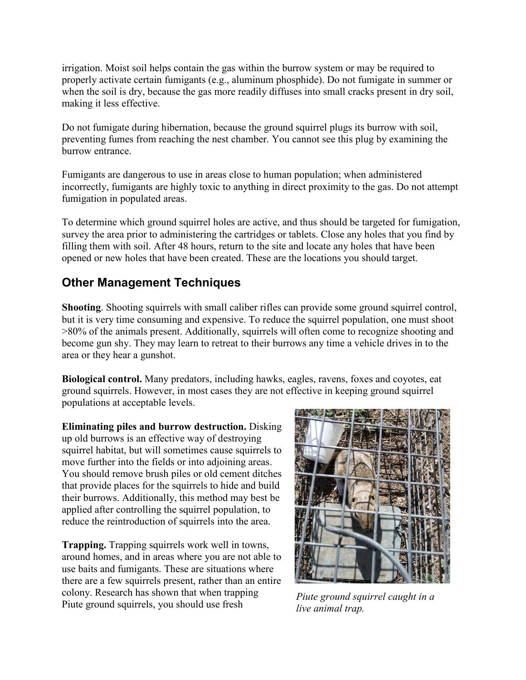irrigation. Moist soil helps contain the gas within the burrow system or may be required to properly activate certain fumigants (e.g., aluminum phosphide). Do not fumigate in summer or when the soil is dry, because the gas more readily diffuses into small cracks present in dry soil, making it less effective.

Do not fumigate during hibernation, because the ground squirrel plugs its burrow with soil, preventing fumes from reaching the nest chamber. You cannot see this plug by examining the burrow entrance.

Fumigants are dangerous to use in areas close to human population; when administered incorrectly, fumigants are highly toxic to anything in direct proximity to the gas. Do not attempt fumigation in populated areas.

To determine which ground squirrel holes are active, and thus should be targeted for fumigation, survey the area prior to administering the cartridges or tablets. Close any holes that you find by filling them with soil. After 48 hours, return to the site and locate any holes that have been opened or new holes that have been created. These are the locations you should target.

## **Other Management Techniques**

**Shooting**. Shooting squirrels with small caliber rifles can provide some ground squirrel control, but it is very time consuming and expensive. To reduce the squirrel population, one must shoot >80% of the animals present. Additionally, squirrels will often come to recognize shooting and become gun shy. They may learn to retreat to their burrows any time a vehicle drives in to the area or they hear a gunshot.

**Biological control.** Many predators, including hawks, eagles, ravens, foxes and coyotes, eat ground squirrels. However, in most cases they are not effective in keeping ground squirrel populations at acceptable levels.

**Eliminating piles and burrow destruction.** Disking up old burrows is an effective way of destroying squirrel habitat, but will sometimes cause squirrels to move further into the fields or into adjoining areas. You should remove brush piles or old cement ditches that provide places for the squirrels to hide and build their burrows. Additionally, this method may best be applied after controlling the squirrel population, to reduce the reintroduction of squirrels into the area.

**Trapping.** Trapping squirrels work well in towns, around homes, and in areas where you are not able to use baits and fumigants. These are situations where there are a few squirrels present, rather than an entire colony. Research has shown that when trapping Piute ground squirrels, you should use fresh *Piute ground squirrel caught in a*



*live animal trap.*